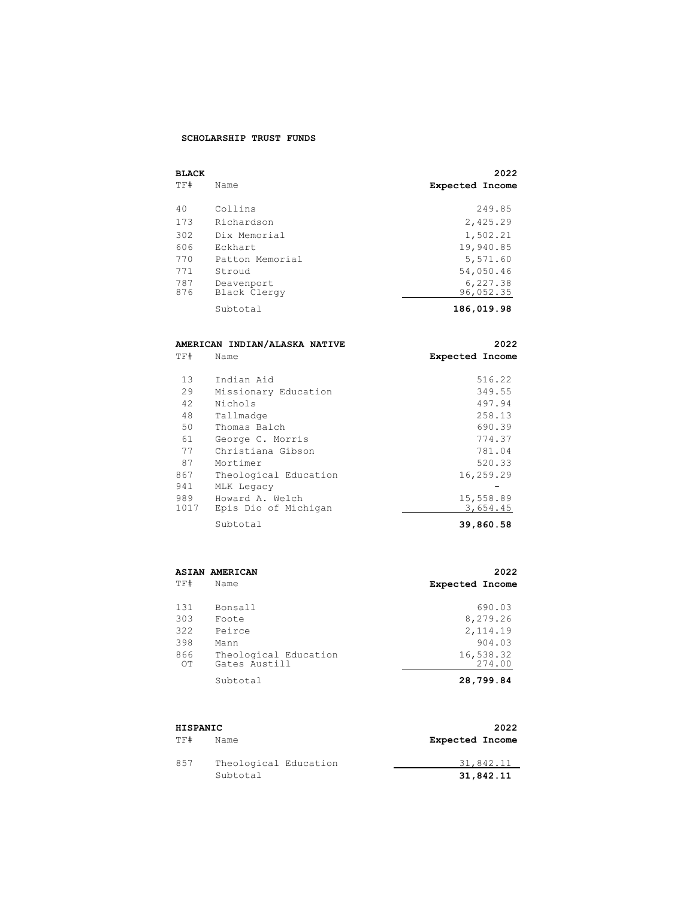## **SCHOLARSHIP TRUST FUNDS**

| <b>BLACK</b> |                 | 2022                   |
|--------------|-----------------|------------------------|
| TF#          | Name            | <b>Expected Income</b> |
|              |                 |                        |
| 40           | Collins         | 249.85                 |
| 173          | Richardson      | 2,425.29               |
| 302          | Dix Memorial    | 1,502.21               |
| 606          | Eckhart         | 19,940.85              |
| 770          | Patton Memorial | 5,571.60               |
| 771          | Stroud          | 54,050.46              |
| 787          | Deavenport      | 6,227.38               |
| 876          | Black Clergy    | 96,052.35              |
|              | Subtotal        | 186,019.98             |

|             | AMERICAN INDIAN/ALASKA NATIVE           | 2022                   |
|-------------|-----------------------------------------|------------------------|
| TF#         | Name                                    | <b>Expected Income</b> |
|             |                                         |                        |
| 13          | Indian Aid                              | 516.22                 |
| 29          | Missionary Education                    | 349.55                 |
| 42          | Nichols                                 | 497.94                 |
| 48          | Tallmadge                               | 258.13                 |
| 50          | Thomas Balch                            | 690.39                 |
| 61          | George C. Morris                        | 774.37                 |
| 77          | Christiana Gibson                       | 781.04                 |
| 87          | Mortimer                                | 520.33                 |
| 867         | Theological Education                   | 16,259.29              |
| 941         | MLK Legacy                              |                        |
| 989<br>1017 | Howard A. Welch<br>Epis Dio of Michigan | 15,558.89<br>3,654.45  |
|             | Subtotal                                | 39,860.58              |

|           | <b>ASIAN AMERICAN</b>                  | 2022                   |
|-----------|----------------------------------------|------------------------|
| TF#       | Name                                   | <b>Expected Income</b> |
| 131       | Bonsall                                | 690.03                 |
| 303       | Foote                                  | 8,279.26               |
| 322       | Peirce                                 | 2,114.19               |
| 398       | Mann                                   | 904.03                 |
| 866<br>OТ | Theological Education<br>Gates Austill | 16,538.32<br>274.00    |
|           | Subtotal                               | 28,799.84              |

| HISPANIC |                       | 2022                   |
|----------|-----------------------|------------------------|
| TF#      | Name                  | <b>Expected Income</b> |
| 857      | Theological Education | 31,842.11              |
|          | Subtotal              | 31,842.11              |